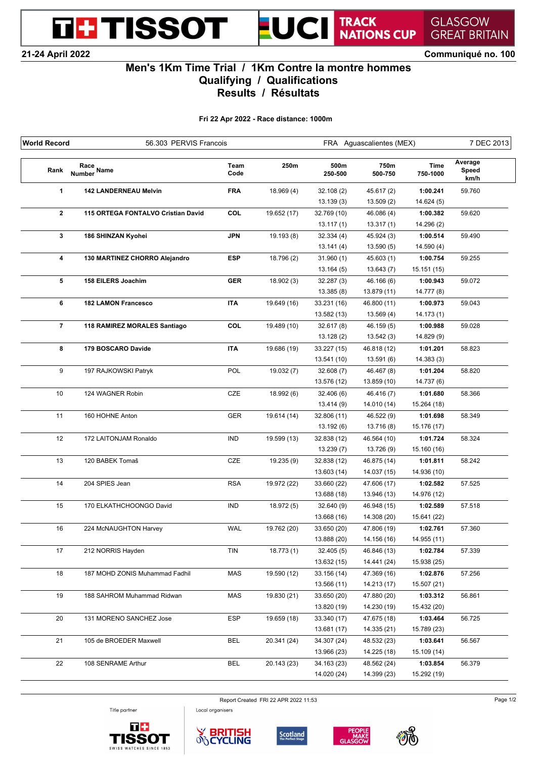**21-24 April 2022 Communiqué no. 100**

**THE TISSOT** 

TRACK<br>NATIONS CUP UCI

**GREAT BRITAIN** 

**GLASGOW** 

## **Men's 1Km Time Trial / 1Km Contre la montre hommes Qualifying / Qualifications Results / Résultats**

 $\overline{\phantom{a}}$ 

**Fri 22 Apr 2022 - Race distance: 1000m**

| <b>World Record</b> | 56.303 PERVIS Francois             |              |             | FRA Aguascalientes (MEX) | 7 DEC 2013      |                         |                          |
|---------------------|------------------------------------|--------------|-------------|--------------------------|-----------------|-------------------------|--------------------------|
| Rank                | Race<br>Number Name                | Team<br>Code | 250m        | 500m<br>250-500          | 750m<br>500-750 | <b>Time</b><br>750-1000 | Average<br>Speed<br>km/h |
| 1                   | <b>142 LANDERNEAU Melvin</b>       | <b>FRA</b>   | 18.969 (4)  | 32.108(2)                | 45.617 (2)      | 1:00.241                | 59.760                   |
|                     |                                    |              |             | 13.139(3)                | 13.509(2)       | 14.624(5)               |                          |
| $\mathbf{2}$        | 115 ORTEGA FONTALVO Cristian David | COL          | 19.652 (17) | 32.769 (10)              | 46.086 (4)      | 1:00.382                | 59.620                   |
|                     |                                    |              |             | 13.117(1)                | 13.317(1)       | 14.296 (2)              |                          |
| 3                   | 186 SHINZAN Kyohei                 | <b>JPN</b>   | 19.193 (8)  | 32.334(4)                | 45.924 (3)      | 1:00.514                | 59.490                   |
|                     |                                    |              |             | 13.141(4)                | 13.590(5)       | 14.590(4)               |                          |
| 4                   | 130 MARTINEZ CHORRO Alejandro      | <b>ESP</b>   | 18.796 (2)  | 31.960(1)                | 45.603(1)       | 1:00.754                | 59.255                   |
|                     |                                    |              |             | 13.164(5)                | 13.643(7)       | 15.151 (15)             |                          |
| 5                   | 158 EILERS Joachim                 | <b>GER</b>   | 18.902 (3)  | 32.287(3)                | 46.166 (6)      | 1:00.943                | 59.072                   |
|                     |                                    |              |             | 13.385(8)                | 13.879 (11)     | 14.777 (8)              |                          |
| 6                   | <b>182 LAMON Francesco</b>         | <b>ITA</b>   | 19.649 (16) | 33.231 (16)              | 46.800 (11)     | 1:00.973                | 59.043                   |
|                     |                                    |              |             | 13.582 (13)              | 13.569 (4)      | 14.173(1)               |                          |
| $\overline{7}$      | 118 RAMIREZ MORALES Santiago       | COL          | 19.489 (10) | 32.617(8)                | 46.159 (5)      | 1:00.988                | 59.028                   |
|                     |                                    |              |             | 13.128(2)                | 13.542(3)       | 14.829 (9)              |                          |
| 8                   | 179 BOSCARO Davide                 | <b>ITA</b>   | 19.686 (19) | 33.227 (15)              | 46.818 (12)     | 1:01.201                | 58.823                   |
|                     |                                    |              |             | 13.541 (10)              | 13.591 (6)      | 14.383(3)               |                          |
| 9                   | 197 RAJKOWSKI Patryk               | POL          | 19.032 (7)  | 32.608(7)                | 46.467 (8)      | 1:01.204                | 58.820                   |
|                     |                                    |              |             | 13.576 (12)              | 13.859 (10)     | 14.737 (6)              |                          |
| 10                  | 124 WAGNER Robin                   | CZE          | 18.992 (6)  | 32.406(6)                | 46.416 (7)      | 1:01.680                | 58.366                   |
|                     |                                    |              |             | 13.414 (9)               | 14.010 (14)     | 15.264 (18)             |                          |
| 11                  | 160 HOHNE Anton                    | <b>GER</b>   | 19.614 (14) | 32.806 (11)              | 46.522 (9)      | 1:01.698                | 58.349                   |
|                     |                                    |              |             | 13.192(6)                | 13.716 (8)      | 15.176 (17)             |                          |
| 12                  | 172 LAITONJAM Ronaldo              | <b>IND</b>   | 19.599 (13) | 32.838 (12)              | 46.564 (10)     | 1:01.724                | 58.324                   |
|                     |                                    |              |             | 13.239(7)                | 13.726 (9)      | 15.160 (16)             |                          |
| 13                  | 120 BABEK Tomaš                    | CZE          | 19.235 (9)  | 32.838 (12)              | 46.875 (14)     | 1:01.811                | 58.242                   |
|                     |                                    |              |             | 13.603 (14)              | 14.037 (15)     | 14.936 (10)             |                          |
| 14                  | 204 SPIES Jean                     | <b>RSA</b>   | 19.972 (22) | 33.660 (22)              | 47.606 (17)     | 1:02.582                | 57.525                   |
|                     |                                    |              |             | 13.688 (18)              | 13.946 (13)     | 14.976 (12)             |                          |
| 15                  | 170 ELKATHCHOONGO David            | <b>IND</b>   | 18.972 (5)  | 32.640 (9)               | 46.948 (15)     | 1:02.589                | 57.518                   |
|                     |                                    |              |             | 13.668 (16)              | 14.308 (20)     | 15.641 (22)             |                          |
| 16                  | 224 McNAUGHTON Harvey              | <b>WAL</b>   | 19.762 (20) | 33.650 (20)              | 47.806 (19)     | 1:02.761                | 57.360                   |
|                     |                                    |              |             | 13.888 (20)              | 14.156 (16)     | 14.955 (11)             |                          |
| 17                  | 212 NORRIS Hayden                  | TIN          | 18.773 (1)  | 32.405(5)                | 46.846 (13)     | 1:02.784                | 57.339                   |
|                     |                                    |              |             | 13.632 (15)              | 14.441 (24)     | 15.938 (25)             |                          |
| 18                  | 187 MOHD ZONIS Muhammad Fadhil     | <b>MAS</b>   | 19.590 (12) | 33.156 (14)              | 47.369 (16)     | 1:02.876                | 57.256                   |
|                     |                                    |              |             | 13.566 (11)              | 14.213 (17)     | 15.507 (21)             |                          |
| 19                  | 188 SAHROM Muhammad Ridwan         | <b>MAS</b>   | 19.830 (21) | 33.650 (20)              | 47.880 (20)     | 1:03.312                | 56.861                   |
|                     |                                    |              |             | 13.820 (19)              | 14.230 (19)     | 15.432 (20)             |                          |
| 20                  | 131 MORENO SANCHEZ Jose            | <b>ESP</b>   | 19.659 (18) | 33.340 (17)              | 47.675 (18)     | 1:03.464                | 56.725                   |
|                     |                                    |              |             | 13.681 (17)              | 14.335 (21)     | 15.789 (23)             |                          |
| 21                  | 105 de BROEDER Maxwell             | <b>BEL</b>   | 20.341 (24) | 34.307 (24)              | 48.532 (23)     | 1:03.641                | 56.567                   |
|                     |                                    |              |             | 13.966 (23)              | 14.225 (18)     | 15.109 (14)             |                          |
| 22                  | 108 SENRAME Arthur                 | <b>BEL</b>   | 20.143 (23) | 34.163 (23)              | 48.562 (24)     | 1:03.854                | 56.379                   |
|                     |                                    |              |             | 14.020 (24)              | 14.399 (23)     | 15.292 (19)             |                          |

Report Created FRI 22 APR 2022 11:53 Page 1/2

Title partner





Local organisers